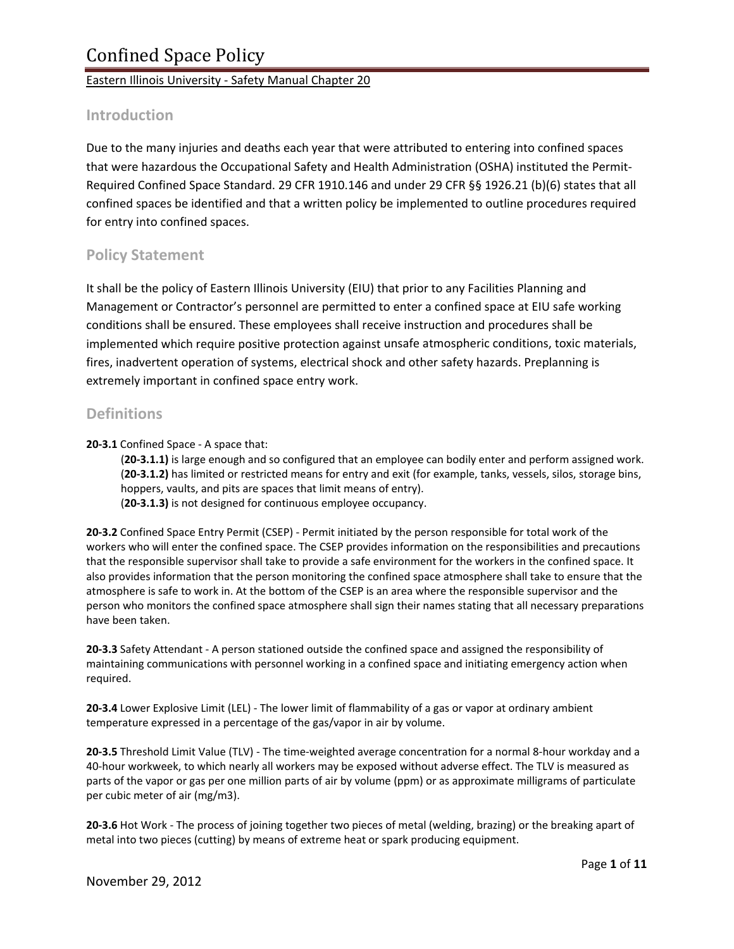### **Introduction**

Due to the many injuries and deaths each year that were attributed to entering into confined spaces that were hazardous the Occupational Safety and Health Administration (OSHA) instituted the Permit‐ Required Confined Space Standard. 29 CFR 1910.146 and under 29 CFR §§ 1926.21 (b)(6) states that all confined spaces be identified and that a written policy be implemented to outline procedures required for entry into confined spaces.

## **Policy Statement**

It shall be the policy of Eastern Illinois University (EIU) that prior to any Facilities Planning and Management or Contractor's personnel are permitted to enter a confined space at EIU safe working conditions shall be ensured. These employees shall receive instruction and procedures shall be implemented which require positive protection against unsafe atmospheric conditions, toxic materials, fires, inadvertent operation of systems, electrical shock and other safety hazards. Preplanning is extremely important in confined space entry work.

## **Definitions**

**20‐3.1** Confined Space ‐ A space that:

(**20‐3.1.1)** is large enough and so configured that an employee can bodily enter and perform assigned work. (**20‐3.1.2)** has limited or restricted means for entry and exit (for example, tanks, vessels, silos, storage bins, hoppers, vaults, and pits are spaces that limit means of entry). (**20‐3.1.3)** is not designed for continuous employee occupancy.

**20‐3.2** Confined Space Entry Permit (CSEP) ‐ Permit initiated by the person responsible for total work of the workers who will enter the confined space. The CSEP provides information on the responsibilities and precautions that the responsible supervisor shall take to provide a safe environment for the workers in the confined space. It also provides information that the person monitoring the confined space atmosphere shall take to ensure that the atmosphere is safe to work in. At the bottom of the CSEP is an area where the responsible supervisor and the person who monitors the confined space atmosphere shall sign their names stating that all necessary preparations have been taken.

**20‐3.3** Safety Attendant ‐ A person stationed outside the confined space and assigned the responsibility of maintaining communications with personnel working in a confined space and initiating emergency action when required.

**20‐3.4** Lower Explosive Limit (LEL) ‐ The lower limit of flammability of a gas or vapor at ordinary ambient temperature expressed in a percentage of the gas/vapor in air by volume.

**20‐3.5** Threshold Limit Value (TLV) ‐ The time‐weighted average concentration for a normal 8‐hour workday and a 40‐hour workweek, to which nearly all workers may be exposed without adverse effect. The TLV is measured as parts of the vapor or gas per one million parts of air by volume (ppm) or as approximate milligrams of particulate per cubic meter of air (mg/m3).

**20‐3.6** Hot Work ‐ The process of joining together two pieces of metal (welding, brazing) or the breaking apart of metal into two pieces (cutting) by means of extreme heat or spark producing equipment.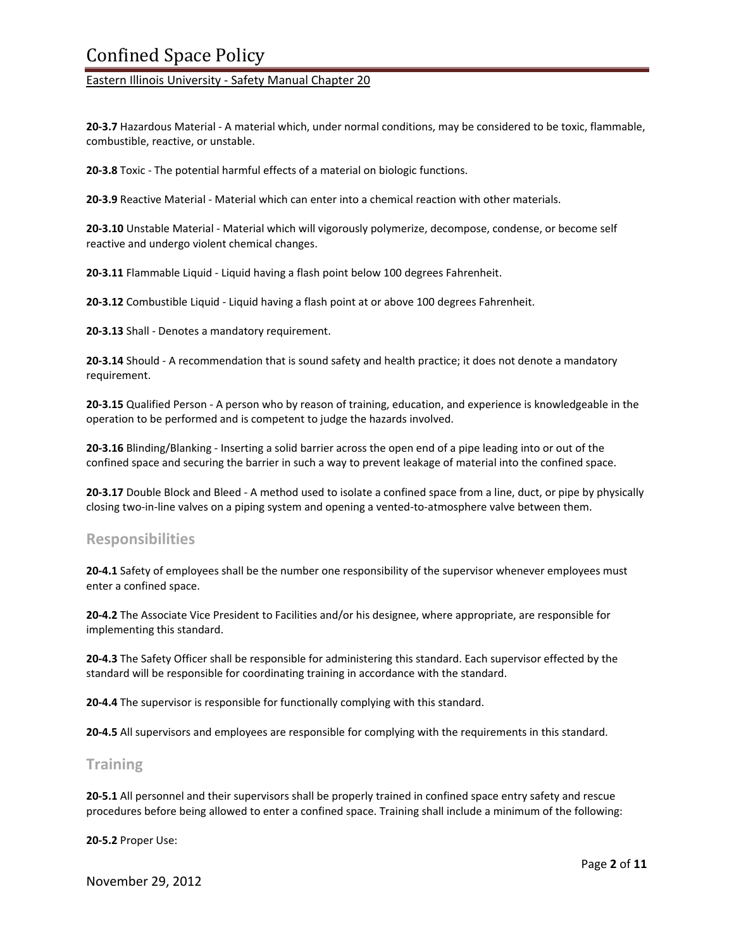# Confined Space Policy

Eastern Illinois University ‐ Safety Manual Chapter 20

**20‐3.7** Hazardous Material ‐ A material which, under normal conditions, may be considered to be toxic, flammable, combustible, reactive, or unstable.

**20‐3.8** Toxic ‐ The potential harmful effects of a material on biologic functions.

**20‐3.9** Reactive Material ‐ Material which can enter into a chemical reaction with other materials.

**20‐3.10** Unstable Material ‐ Material which will vigorously polymerize, decompose, condense, or become self reactive and undergo violent chemical changes.

**20‐3.11** Flammable Liquid ‐ Liquid having a flash point below 100 degrees Fahrenheit.

**20‐3.12** Combustible Liquid ‐ Liquid having a flash point at or above 100 degrees Fahrenheit.

**20‐3.13** Shall ‐ Denotes a mandatory requirement.

**20‐3.14** Should ‐ A recommendation that is sound safety and health practice; it does not denote a mandatory requirement.

**20‐3.15** Qualified Person ‐ A person who by reason of training, education, and experience is knowledgeable in the operation to be performed and is competent to judge the hazards involved.

**20‐3.16** Blinding/Blanking ‐ Inserting a solid barrier across the open end of a pipe leading into or out of the confined space and securing the barrier in such a way to prevent leakage of material into the confined space.

**20‐3.17** Double Block and Bleed ‐ A method used to isolate a confined space from a line, duct, or pipe by physically closing two-in-line valves on a piping system and opening a vented-to-atmosphere valve between them.

#### **Responsibilities**

**20‐4.1** Safety of employees shall be the number one responsibility of the supervisor whenever employees must enter a confined space.

**20‐4.2** The Associate Vice President to Facilities and/or his designee, where appropriate, are responsible for implementing this standard.

**20‐4.3** The Safety Officer shall be responsible for administering this standard. Each supervisor effected by the standard will be responsible for coordinating training in accordance with the standard.

**20‐4.4** The supervisor is responsible for functionally complying with this standard.

**20‐4.5** All supervisors and employees are responsible for complying with the requirements in this standard.

### **Training**

**20‐5.1** All personnel and their supervisors shall be properly trained in confined space entry safety and rescue procedures before being allowed to enter a confined space. Training shall include a minimum of the following:

**20‐5.2** Proper Use:

November 29, 2012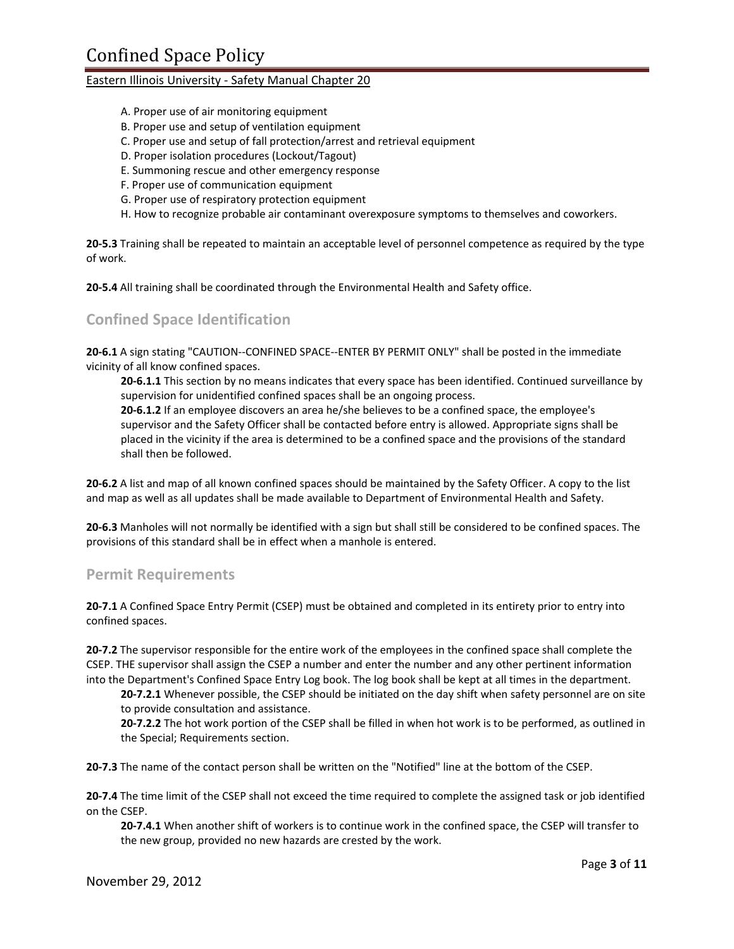- A. Proper use of air monitoring equipment
- B. Proper use and setup of ventilation equipment
- C. Proper use and setup of fall protection/arrest and retrieval equipment
- D. Proper isolation procedures (Lockout/Tagout)
- E. Summoning rescue and other emergency response
- F. Proper use of communication equipment
- G. Proper use of respiratory protection equipment
- H. How to recognize probable air contaminant overexposure symptoms to themselves and coworkers.

**20‐5.3** Training shall be repeated to maintain an acceptable level of personnel competence as required by the type of work.

**20‐5.4** All training shall be coordinated through the Environmental Health and Safety office.

## **Confined Space Identification**

**20‐6.1** A sign stating "CAUTION‐‐CONFINED SPACE‐‐ENTER BY PERMIT ONLY" shall be posted in the immediate vicinity of all know confined spaces.

**20‐6.1.1** This section by no means indicates that every space has been identified. Continued surveillance by supervision for unidentified confined spaces shall be an ongoing process.

**20‐6.1.2** If an employee discovers an area he/she believes to be a confined space, the employee's supervisor and the Safety Officer shall be contacted before entry is allowed. Appropriate signs shall be placed in the vicinity if the area is determined to be a confined space and the provisions of the standard shall then be followed.

**20‐6.2** A list and map of all known confined spaces should be maintained by the Safety Officer. A copy to the list and map as well as all updates shall be made available to Department of Environmental Health and Safety.

**20‐6.3** Manholes will not normally be identified with a sign but shall still be considered to be confined spaces. The provisions of this standard shall be in effect when a manhole is entered.

#### **Permit Requirements**

**20‐7.1** A Confined Space Entry Permit (CSEP) must be obtained and completed in its entirety prior to entry into confined spaces.

**20‐7.2** The supervisor responsible for the entire work of the employees in the confined space shall complete the CSEP. THE supervisor shall assign the CSEP a number and enter the number and any other pertinent information into the Department's Confined Space Entry Log book. The log book shall be kept at all times in the department.

**20‐7.2.1** Whenever possible, the CSEP should be initiated on the day shift when safety personnel are on site to provide consultation and assistance.

**20‐7.2.2** The hot work portion of the CSEP shall be filled in when hot work is to be performed, as outlined in the Special; Requirements section.

**20‐7.3** The name of the contact person shall be written on the "Notified" line at the bottom of the CSEP.

**20‐7.4** The time limit of the CSEP shall not exceed the time required to complete the assigned task or job identified on the CSEP.

**20‐7.4.1** When another shift of workers is to continue work in the confined space, the CSEP will transfer to the new group, provided no new hazards are crested by the work.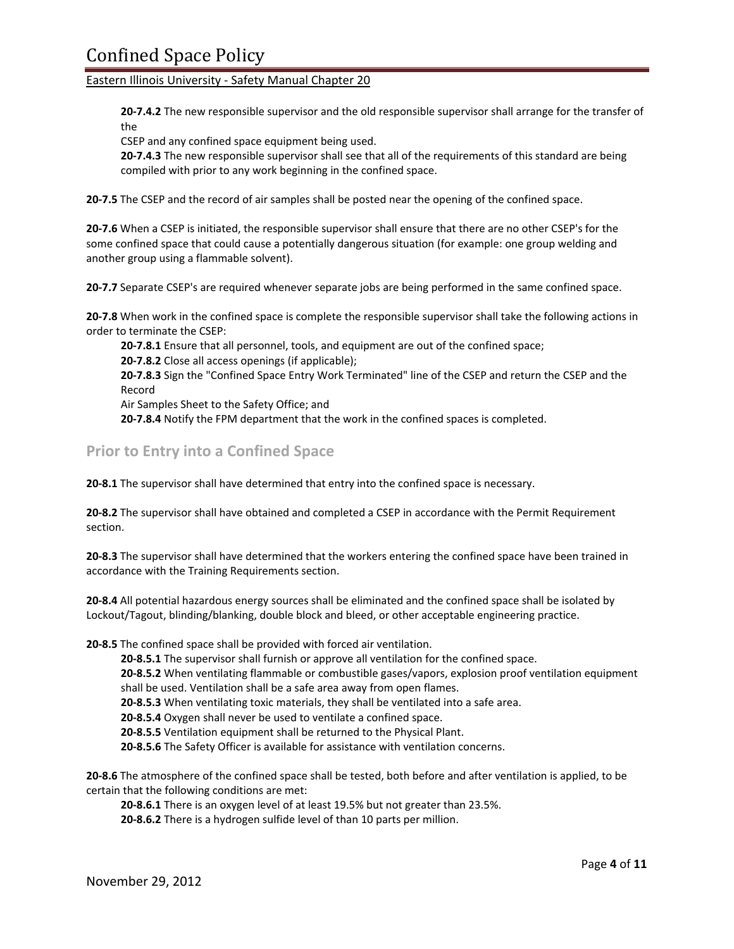**20‐7.4.2** The new responsible supervisor and the old responsible supervisor shall arrange for the transfer of the

CSEP and any confined space equipment being used.

**20‐7.4.3** The new responsible supervisor shall see that all of the requirements of this standard are being compiled with prior to any work beginning in the confined space.

**20‐7.5** The CSEP and the record of air samples shall be posted near the opening of the confined space.

**20‐7.6** When a CSEP is initiated, the responsible supervisor shall ensure that there are no other CSEP's for the some confined space that could cause a potentially dangerous situation (for example: one group welding and another group using a flammable solvent).

**20‐7.7** Separate CSEP's are required whenever separate jobs are being performed in the same confined space.

**20‐7.8** When work in the confined space is complete the responsible supervisor shall take the following actions in order to terminate the CSEP:

**20‐7.8.1** Ensure that all personnel, tools, and equipment are out of the confined space;

**20‐7.8.2** Close all access openings (if applicable);

**20‐7.8.3** Sign the "Confined Space Entry Work Terminated" line of the CSEP and return the CSEP and the Record

Air Samples Sheet to the Safety Office; and

**20‐7.8.4** Notify the FPM department that the work in the confined spaces is completed.

**Prior to Entry into a Confined Space**

**20‐8.1** The supervisor shall have determined that entry into the confined space is necessary.

**20‐8.2** The supervisor shall have obtained and completed a CSEP in accordance with the Permit Requirement section.

**20‐8.3** The supervisor shall have determined that the workers entering the confined space have been trained in accordance with the Training Requirements section.

**20‐8.4** All potential hazardous energy sources shall be eliminated and the confined space shall be isolated by Lockout/Tagout, blinding/blanking, double block and bleed, or other acceptable engineering practice.

**20‐8.5** The confined space shall be provided with forced air ventilation.

**20‐8.5.1** The supervisor shall furnish or approve all ventilation for the confined space.

**20‐8.5.2** When ventilating flammable or combustible gases/vapors, explosion proof ventilation equipment shall be used. Ventilation shall be a safe area away from open flames.

**20‐8.5.3** When ventilating toxic materials, they shall be ventilated into a safe area.

**20‐8.5.4** Oxygen shall never be used to ventilate a confined space.

**20‐8.5.5** Ventilation equipment shall be returned to the Physical Plant.

**20‐8.5.6** The Safety Officer is available for assistance with ventilation concerns.

**20‐8.6** The atmosphere of the confined space shall be tested, both before and after ventilation is applied, to be certain that the following conditions are met:

**20‐8.6.1** There is an oxygen level of at least 19.5% but not greater than 23.5%.

**20‐8.6.2** There is a hydrogen sulfide level of than 10 parts per million.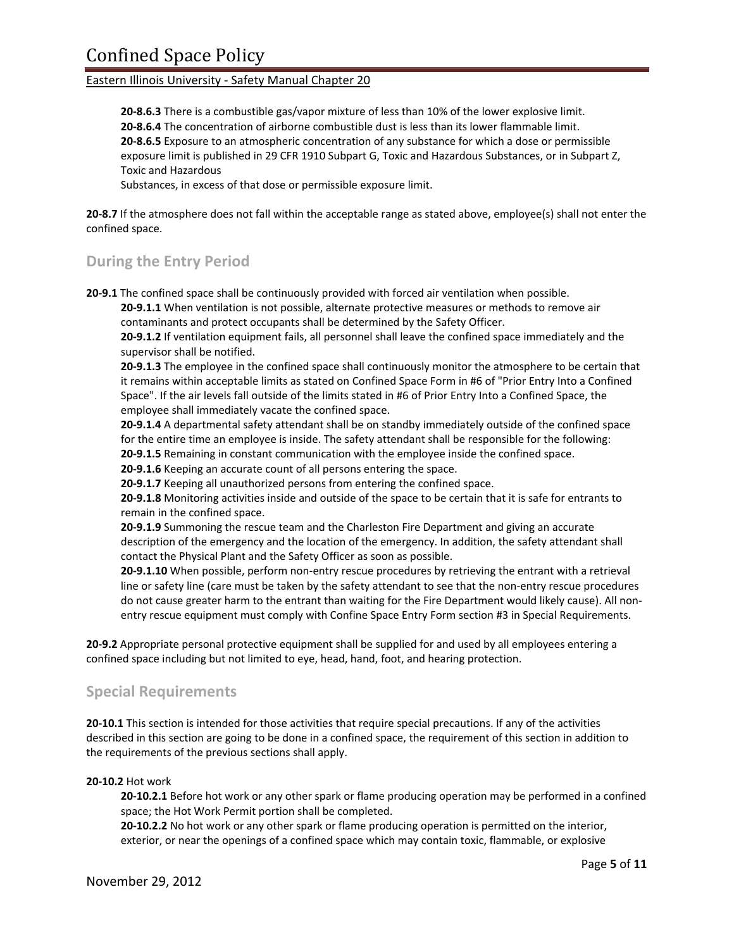**20‐8.6.3** There is a combustible gas/vapor mixture of less than 10% of the lower explosive limit. **20‐8.6.4** The concentration of airborne combustible dust is less than its lower flammable limit. **20‐8.6.5** Exposure to an atmospheric concentration of any substance for which a dose or permissible exposure limit is published in 29 CFR 1910 Subpart G, Toxic and Hazardous Substances, or in Subpart Z, Toxic and Hazardous

Substances, in excess of that dose or permissible exposure limit.

**20‐8.7** If the atmosphere does not fall within the acceptable range as stated above, employee(s) shall not enter the confined space.

## **During the Entry Period**

**20‐9.1** The confined space shall be continuously provided with forced air ventilation when possible.

**20‐9.1.1** When ventilation is not possible, alternate protective measures or methods to remove air contaminants and protect occupants shall be determined by the Safety Officer.

**20‐9.1.2** If ventilation equipment fails, all personnel shall leave the confined space immediately and the supervisor shall be notified.

**20‐9.1.3** The employee in the confined space shall continuously monitor the atmosphere to be certain that it remains within acceptable limits as stated on Confined Space Form in #6 of "Prior Entry Into a Confined Space". If the air levels fall outside of the limits stated in #6 of Prior Entry Into a Confined Space, the employee shall immediately vacate the confined space.

**20‐9.1.4** A departmental safety attendant shall be on standby immediately outside of the confined space for the entire time an employee is inside. The safety attendant shall be responsible for the following: **20‐9.1.5** Remaining in constant communication with the employee inside the confined space.

**20‐9.1.6** Keeping an accurate count of all persons entering the space.

**20‐9.1.7** Keeping all unauthorized persons from entering the confined space.

**20‐9.1.8** Monitoring activities inside and outside of the space to be certain that it is safe for entrants to remain in the confined space.

**20‐9.1.9** Summoning the rescue team and the Charleston Fire Department and giving an accurate description of the emergency and the location of the emergency. In addition, the safety attendant shall contact the Physical Plant and the Safety Officer as soon as possible.

**20‐9.1.10** When possible, perform non‐entry rescue procedures by retrieving the entrant with a retrieval line or safety line (care must be taken by the safety attendant to see that the non-entry rescue procedures do not cause greater harm to the entrant than waiting for the Fire Department would likely cause). All nonentry rescue equipment must comply with Confine Space Entry Form section #3 in Special Requirements.

**20‐9.2** Appropriate personal protective equipment shall be supplied for and used by all employees entering a confined space including but not limited to eye, head, hand, foot, and hearing protection.

### **Special Requirements**

**20‐10.1** This section is intended for those activities that require special precautions. If any of the activities described in this section are going to be done in a confined space, the requirement of this section in addition to the requirements of the previous sections shall apply.

#### **20‐10.2** Hot work

**20‐10.2.1** Before hot work or any other spark or flame producing operation may be performed in a confined space; the Hot Work Permit portion shall be completed.

**20‐10.2.2** No hot work or any other spark or flame producing operation is permitted on the interior, exterior, or near the openings of a confined space which may contain toxic, flammable, or explosive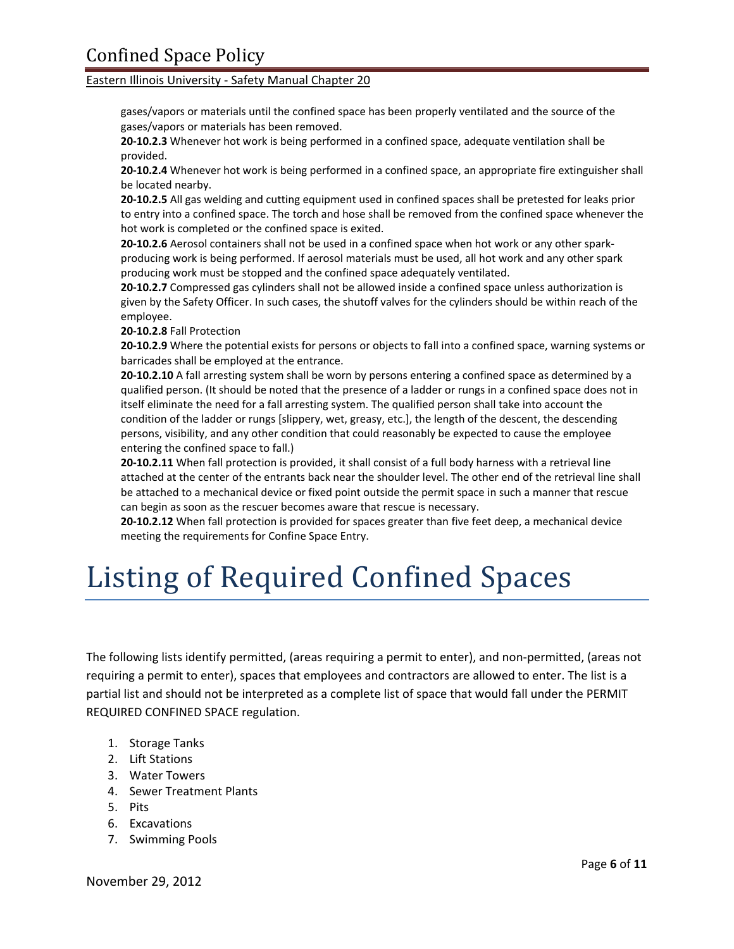gases/vapors or materials until the confined space has been properly ventilated and the source of the gases/vapors or materials has been removed.

**20‐10.2.3** Whenever hot work is being performed in a confined space, adequate ventilation shall be provided.

**20‐10.2.4** Whenever hot work is being performed in a confined space, an appropriate fire extinguisher shall be located nearby.

**20‐10.2.5** All gas welding and cutting equipment used in confined spaces shall be pretested for leaks prior to entry into a confined space. The torch and hose shall be removed from the confined space whenever the hot work is completed or the confined space is exited.

**20‐10.2.6** Aerosol containers shall not be used in a confined space when hot work or any other spark‐ producing work is being performed. If aerosol materials must be used, all hot work and any other spark producing work must be stopped and the confined space adequately ventilated.

**20‐10.2.7** Compressed gas cylinders shall not be allowed inside a confined space unless authorization is given by the Safety Officer. In such cases, the shutoff valves for the cylinders should be within reach of the employee.

**20‐10.2.8** Fall Protection

**20‐10.2.9** Where the potential exists for persons or objects to fall into a confined space, warning systems or barricades shall be employed at the entrance.

**20‐10.2.10** A fall arresting system shall be worn by persons entering a confined space as determined by a qualified person. (It should be noted that the presence of a ladder or rungs in a confined space does not in itself eliminate the need for a fall arresting system. The qualified person shall take into account the condition of the ladder or rungs [slippery, wet, greasy, etc.], the length of the descent, the descending persons, visibility, and any other condition that could reasonably be expected to cause the employee entering the confined space to fall.)

**20‐10.2.11** When fall protection is provided, it shall consist of a full body harness with a retrieval line attached at the center of the entrants back near the shoulder level. The other end of the retrieval line shall be attached to a mechanical device or fixed point outside the permit space in such a manner that rescue can begin as soon as the rescuer becomes aware that rescue is necessary.

**20‐10.2.12** When fall protection is provided for spaces greater than five feet deep, a mechanical device meeting the requirements for Confine Space Entry.

# Listing of Required Confined Spaces

The following lists identify permitted, (areas requiring a permit to enter), and non‐permitted, (areas not requiring a permit to enter), spaces that employees and contractors are allowed to enter. The list is a partial list and should not be interpreted as a complete list of space that would fall under the PERMIT REQUIRED CONFINED SPACE regulation.

- 1. Storage Tanks
- 2. Lift Stations
- 3. Water Towers
- 4. Sewer Treatment Plants
- 5. Pits
- 6. Excavations
- 7. Swimming Pools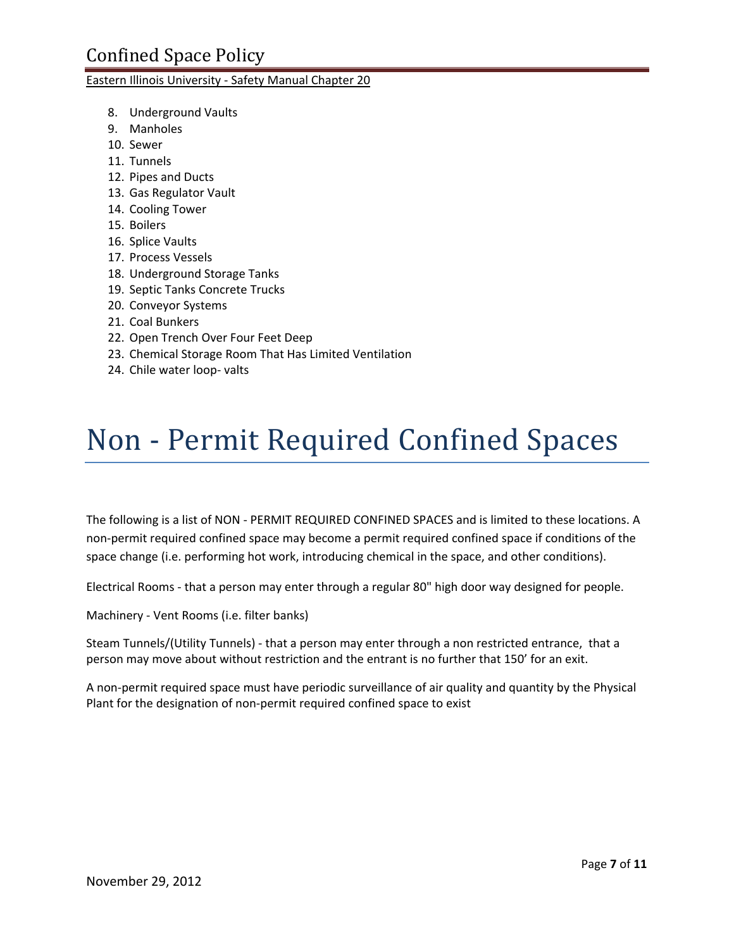- 8. Underground Vaults
- 9. Manholes
- 10. Sewer
- 11. Tunnels
- 12. Pipes and Ducts
- 13. Gas Regulator Vault
- 14. Cooling Tower
- 15. Boilers
- 16. Splice Vaults
- 17. Process Vessels
- 18. Underground Storage Tanks
- 19. Septic Tanks Concrete Trucks
- 20. Conveyor Systems
- 21. Coal Bunkers
- 22. Open Trench Over Four Feet Deep
- 23. Chemical Storage Room That Has Limited Ventilation
- 24. Chile water loop‐ valts

# Non ‐ Permit Required Confined Spaces

The following is a list of NON ‐ PERMIT REQUIRED CONFINED SPACES and is limited to these locations. A non‐permit required confined space may become a permit required confined space if conditions of the space change (i.e. performing hot work, introducing chemical in the space, and other conditions).

Electrical Rooms ‐ that a person may enter through a regular 80" high door way designed for people.

Machinery ‐ Vent Rooms (i.e. filter banks)

Steam Tunnels/(Utility Tunnels) ‐ that a person may enter through a non restricted entrance, that a person may move about without restriction and the entrant is no further that 150' for an exit.

A non‐permit required space must have periodic surveillance of air quality and quantity by the Physical Plant for the designation of non‐permit required confined space to exist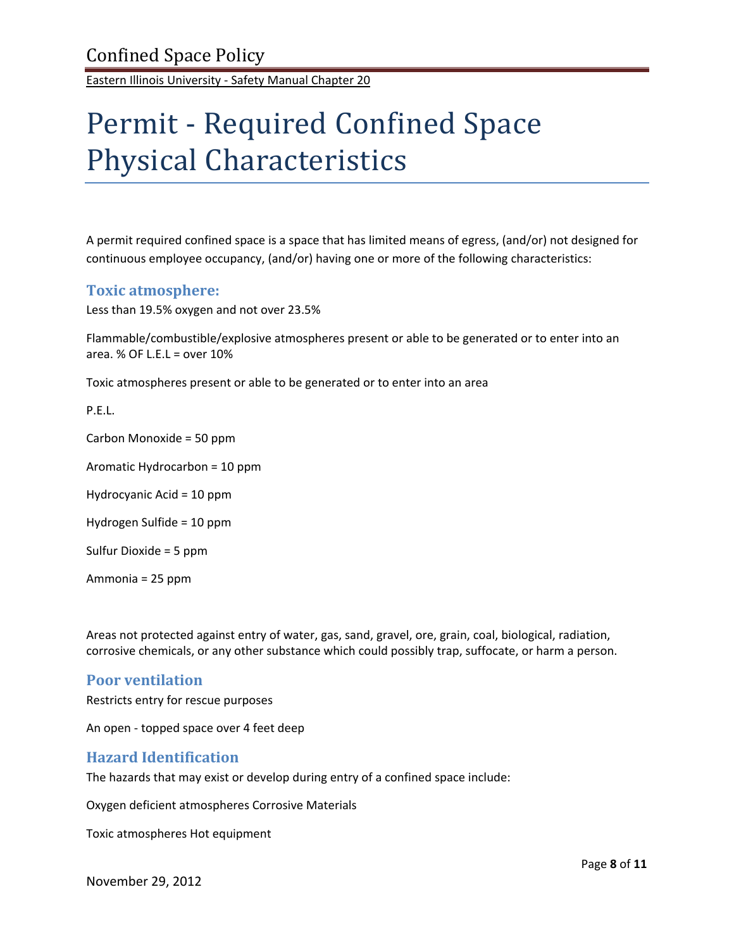# Permit ‐ Required Confined Space Physical Characteristics

A permit required confined space is a space that has limited means of egress, (and/or) not designed for continuous employee occupancy, (and/or) having one or more of the following characteristics:

## **Toxic atmosphere:**

Less than 19.5% oxygen and not over 23.5%

Flammable/combustible/explosive atmospheres present or able to be generated or to enter into an area.  $%$  OF L.E.L = over 10%

Toxic atmospheres present or able to be generated or to enter into an area

P.E.L.

Carbon Monoxide = 50 ppm

Aromatic Hydrocarbon = 10 ppm

Hydrocyanic Acid = 10 ppm

Hydrogen Sulfide = 10 ppm

Sulfur Dioxide = 5 ppm

Ammonia = 25 ppm

Areas not protected against entry of water, gas, sand, gravel, ore, grain, coal, biological, radiation, corrosive chemicals, or any other substance which could possibly trap, suffocate, or harm a person.

### **Poor ventilation**

Restricts entry for rescue purposes

An open ‐ topped space over 4 feet deep

### **Hazard Identification**

The hazards that may exist or develop during entry of a confined space include:

Oxygen deficient atmospheres Corrosive Materials

Toxic atmospheres Hot equipment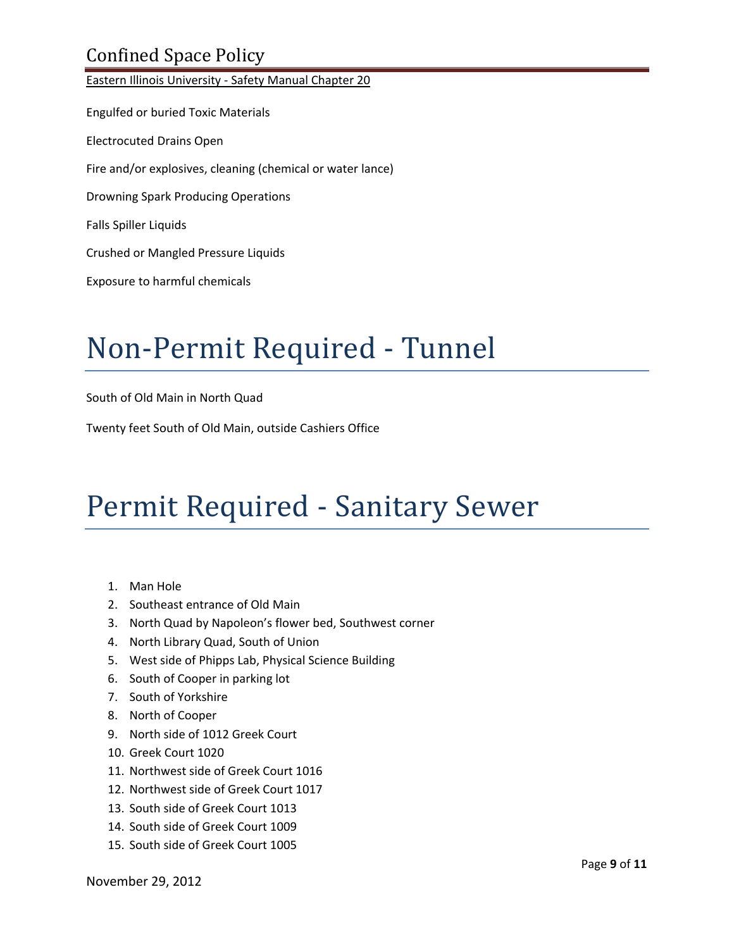# Confined Space Policy

Eastern Illinois University ‐ Safety Manual Chapter 20 Engulfed or buried Toxic Materials Electrocuted Drains Open Fire and/or explosives, cleaning (chemical or water lance) Drowning Spark Producing Operations Falls Spiller Liquids Crushed or Mangled Pressure Liquids Exposure to harmful chemicals

# Non‐Permit Required ‐ Tunnel

South of Old Main in North Quad

Twenty feet South of Old Main, outside Cashiers Office

# Permit Required ‐ Sanitary Sewer

- 1. Man Hole
- 2. Southeast entrance of Old Main
- 3. North Quad by Napoleon's flower bed, Southwest corner
- 4. North Library Quad, South of Union
- 5. West side of Phipps Lab, Physical Science Building
- 6. South of Cooper in parking lot
- 7. South of Yorkshire
- 8. North of Cooper
- 9. North side of 1012 Greek Court
- 10. Greek Court 1020
- 11. Northwest side of Greek Court 1016
- 12. Northwest side of Greek Court 1017
- 13. South side of Greek Court 1013
- 14. South side of Greek Court 1009
- 15. South side of Greek Court 1005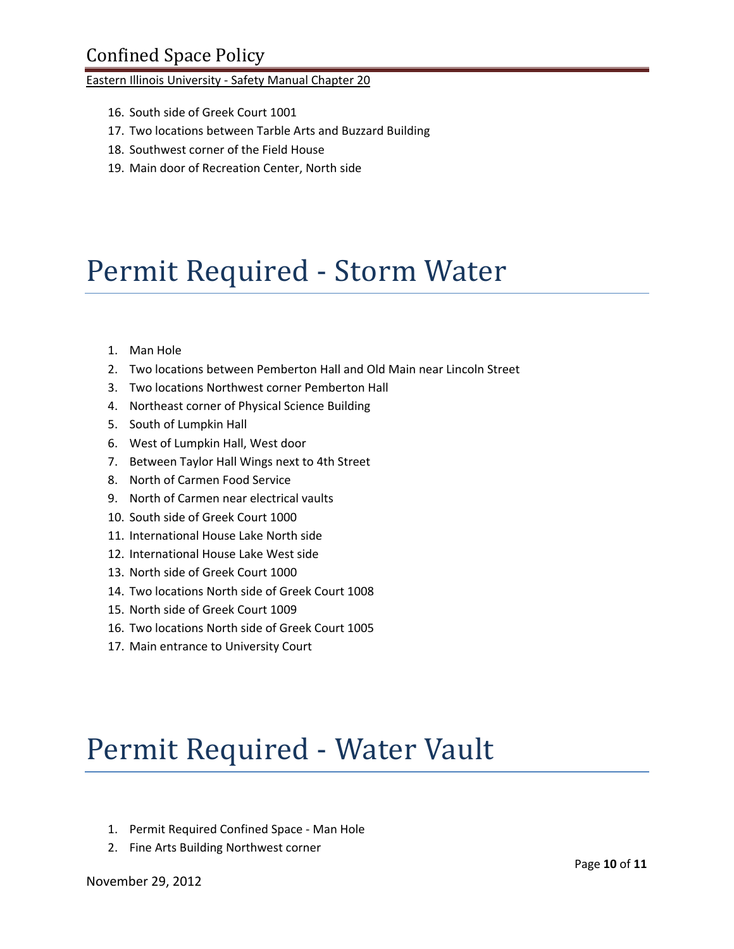- 16. South side of Greek Court 1001
- 17. Two locations between Tarble Arts and Buzzard Building
- 18. Southwest corner of the Field House
- 19. Main door of Recreation Center, North side

# Permit Required ‐ Storm Water

- 1. Man Hole
- 2. Two locations between Pemberton Hall and Old Main near Lincoln Street
- 3. Two locations Northwest corner Pemberton Hall
- 4. Northeast corner of Physical Science Building
- 5. South of Lumpkin Hall
- 6. West of Lumpkin Hall, West door
- 7. Between Taylor Hall Wings next to 4th Street
- 8. North of Carmen Food Service
- 9. North of Carmen near electrical vaults
- 10. South side of Greek Court 1000
- 11. International House Lake North side
- 12. International House Lake West side
- 13. North side of Greek Court 1000
- 14. Two locations North side of Greek Court 1008
- 15. North side of Greek Court 1009
- 16. Two locations North side of Greek Court 1005
- 17. Main entrance to University Court

# Permit Required ‐ Water Vault

- 1. Permit Required Confined Space ‐ Man Hole
- 2. Fine Arts Building Northwest corner